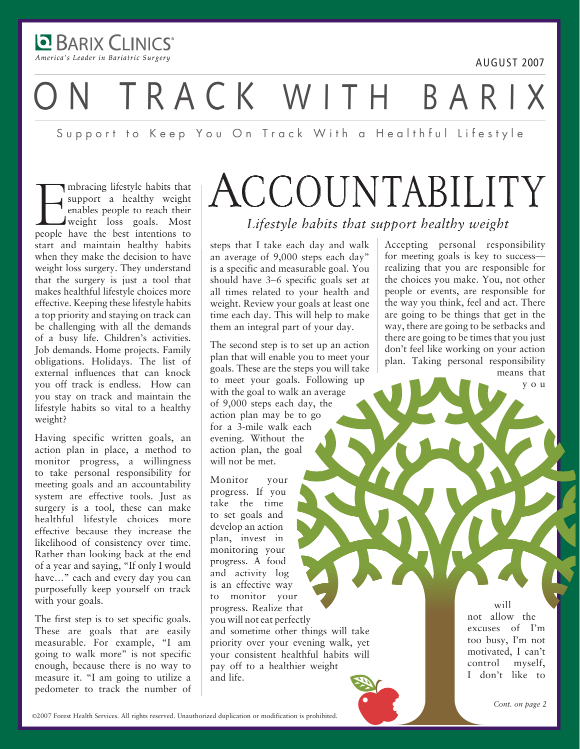**BARIX CLINICS** America's Leader in Bariatric Surgery

# TRACK WITH BARI

Support to Keep You On Track With a Healthful Lifestyle

Imbracing lifestyle habits that<br>support a healthy weight<br>enables people to reach their<br>weight loss goals. Most<br>people have the best intentions to mbracing lifestyle habits that support a healthy weight enables people to reach their weight loss goals. Most start and maintain healthy habits when they make the decision to have weight loss surgery. They understand that the surgery is just a tool that makes healthful lifestyle choices more effective. Keeping these lifestyle habits a top priority and staying on track can be challenging with all the demands of a busy life. Children's activities. Job demands. Home projects. Family obligations. Holidays. The list of external influences that can knock you off track is endless. How can you stay on track and maintain the lifestyle habits so vital to a healthy weight?

Having specific written goals, an action plan in place, a method to monitor progress, a willingness to take personal responsibility for meeting goals and an accountability system are effective tools. Just as surgery is a tool, these can make healthful lifestyle choices more effective because they increase the likelihood of consistency over time. Rather than looking back at the end of a year and saying, "If only I would have…" each and every day you can purposefully keep yourself on track with your goals.

The first step is to set specific goals. These are goals that are easily measurable. For example, "I am going to walk more" is not specific enough, because there is no way to measure it. "I am going to utilize a pedometer to track the number of

### **ACCOUNTABILITY** *Lifestyle habits that support healthy weight*

steps that I take each day and walk an average of 9,000 steps each day" is a specific and measurable goal. You should have 3–6 specific goals set at all times related to your health and weight. Review your goals at least one time each day. This will help to make them an integral part of your day.

The second step is to set up an action plan that will enable you to meet your goals. These are the steps you will take to meet your goals. Following up with the goal to walk an average of 9,000 steps each day, the action plan may be to go for a 3-mile walk each evening. Without the action plan, the goal will not be met.

Monitor your progress. If you take the time to set goals and develop an action plan, invest in monitoring your progress. A food and activity log is an effective way to monitor your progress. Realize that you will not eat perfectly and sometime other things will take priority over your evening walk, yet your consistent healthful habits will pay off to a healthier weight and life.

Accepting personal responsibility for meeting goals is key to success realizing that you are responsible for the choices you make. You, not other people or events, are responsible for the way you think, feel and act. There are going to be things that get in the way, there are going to be setbacks and there are going to be times that you just don't feel like working on your action plan. Taking personal responsibility means that

y o u

august 2007

will not allow the excuses of I'm too busy, I'm not motivated, I can't control myself, I don't like to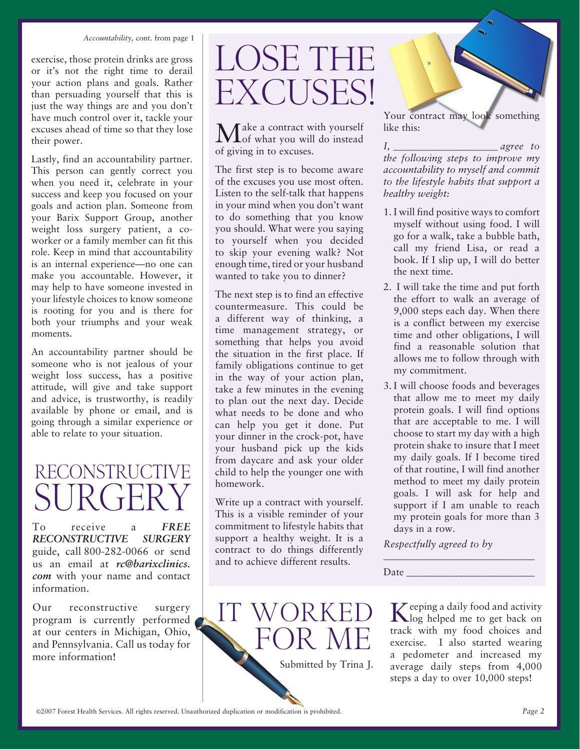#### *Accountability,* cont. from page 1

exercise, those protein drinks are gross or it's not the right time to derail your action plans and goals. Rather than persuading yourself that this is just the way things are and you don't have much control over it, tackle your excuses ahead of time so that they lose their power.

Lastly, find an accountability partner. This person can gently correct you when you need it, celebrate in your success and keep you focused on your goals and action plan. Someone from your Barix Support Group, another weight loss surgery patient, a coworker or a family member can fit this role. Keep in mind that accountability is an internal experience—no one can make you accountable. However, it may help to have someone invested in your lifestyle choices to know someone is rooting for you and is there for both your triumphs and your weak moments.

An accountability partner should be someone who is not jealous of your weight loss success, has a positive attitude, will give and take support and advice, is trustworthy, is readily available by phone or email, and is going through a similar experience or able to relate to your situation.

### RECONSTRUCTIVE **SURGERY**

To receive a **FREE** *reconstructive surgery* guide, call 800-282-0066 or send us an email at *rc@barixclinics. com* with your name and contact information.

Our reconstructive surgery program is currently performed at our centers in Michigan, Ohio, and Pennsylvania. Call us today for more information!

## LOSE THE Excuses!

*T* ake a contract with yourself of what you will do instead of giving in to excuses.

The first step is to become aware of the excuses you use most often. Listen to the self-talk that happens in your mind when you don't want to do something that you know you should. What were you saying to yourself when you decided to skip your evening walk? Not enough time, tired or your husband wanted to take you to dinner?

The next step is to find an effective countermeasure. This could be a different way of thinking, a time management strategy, or something that helps you avoid the situation in the first place. If family obligations continue to get in the way of your action plan, take a few minutes in the evening to plan out the next day. Decide what needs to be done and who can help you get it done. Put your dinner in the crock-pot, have your husband pick up the kids from daycare and ask your older child to help the younger one with homework.

Write up a contract with yourself. This is a visible reminder of your commitment to lifestyle habits that support a healthy weight. It is a contract to do things differently and to achieve different results.



Your contract may look something like this:

*I, \_\_\_\_\_\_\_\_\_\_\_\_\_\_\_\_\_\_\_\_\_ agree to the following steps to improve my accountability to myself and commit to the lifestyle habits that support a healthy weight:* 

- 1. I will find positive ways to comfort myself without using food. I will go for a walk, take a bubble bath, call my friend Lisa, or read a book. If I slip up, I will do better the next time.
- 2. I will take the time and put forth the effort to walk an average of 9,000 steps each day. When there is a conflict between my exercise time and other obligations, I will find a reasonable solution that allows me to follow through with my commitment.
- 3. I will choose foods and beverages that allow me to meet my daily protein goals. I will find options that are acceptable to me. I will choose to start my day with a high protein shake to insure that I meet my daily goals. If I become tired of that routine, I will find another method to meet my daily protein goals. I will ask for help and support if I am unable to reach my protein goals for more than 3 days in a row.

*Respectfully agreed to by* 

\_\_\_\_\_\_\_\_\_\_\_\_\_\_\_\_\_\_\_\_\_\_\_\_\_\_\_\_\_\_\_\_\_

Date

Keeping a daily food and activity log helped me to get back on track with my food choices and exercise. I also started wearing a pedometer and increased my average daily steps from 4,000 steps a day to over 10,000 steps!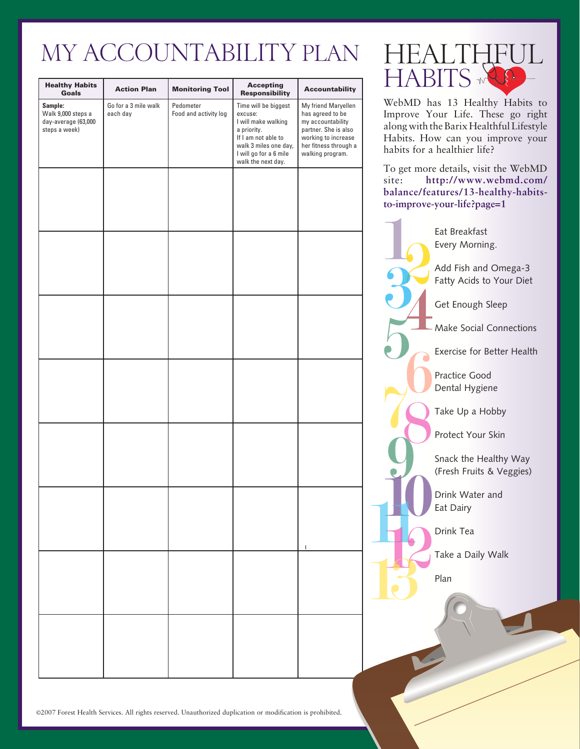### My Accountability Plan

| <b>Healthy Habits</b><br>Goals                                        | <b>Action Plan</b>               | <b>Monitoring Tool</b>             | <b>Accepting</b><br><b>Responsibility</b>                                                                                                                             | <b>Accountability</b>                                                                                                                                    |
|-----------------------------------------------------------------------|----------------------------------|------------------------------------|-----------------------------------------------------------------------------------------------------------------------------------------------------------------------|----------------------------------------------------------------------------------------------------------------------------------------------------------|
| Sample:<br>Walk 9,000 steps a<br>day-average (63,000<br>steps a week) | Go for a 3 mile walk<br>each day | Pedometer<br>Food and activity log | Time will be biggest<br>excuse:<br>I will make walking<br>a priority.<br>If I am not able to<br>walk 3 miles one day,<br>I will go for a 6 mile<br>walk the next day. | My friend Maryellen<br>has agreed to be<br>my accountability<br>partner. She is also<br>working to increase<br>her fitness through a<br>walking program. |
|                                                                       |                                  |                                    |                                                                                                                                                                       |                                                                                                                                                          |
|                                                                       |                                  |                                    |                                                                                                                                                                       |                                                                                                                                                          |
|                                                                       |                                  |                                    |                                                                                                                                                                       |                                                                                                                                                          |
|                                                                       |                                  |                                    |                                                                                                                                                                       |                                                                                                                                                          |
|                                                                       |                                  |                                    |                                                                                                                                                                       |                                                                                                                                                          |
|                                                                       |                                  |                                    |                                                                                                                                                                       |                                                                                                                                                          |
|                                                                       |                                  |                                    |                                                                                                                                                                       |                                                                                                                                                          |
|                                                                       |                                  |                                    |                                                                                                                                                                       |                                                                                                                                                          |



WebMD has 13 Healthy Habits to Improve Your Life. These go right along with the Barix Healthful Lifestyle Habits. How can you improve your habits for a healthier life?

To get more details, visit the WebMD site: **http://www.webmd.com/ balance/features/13-healthy-habitsto-improve-your-life?page=1**



©2007 Forest Health Services. All rights reserved. Unauthorized duplication or modification is prohibited.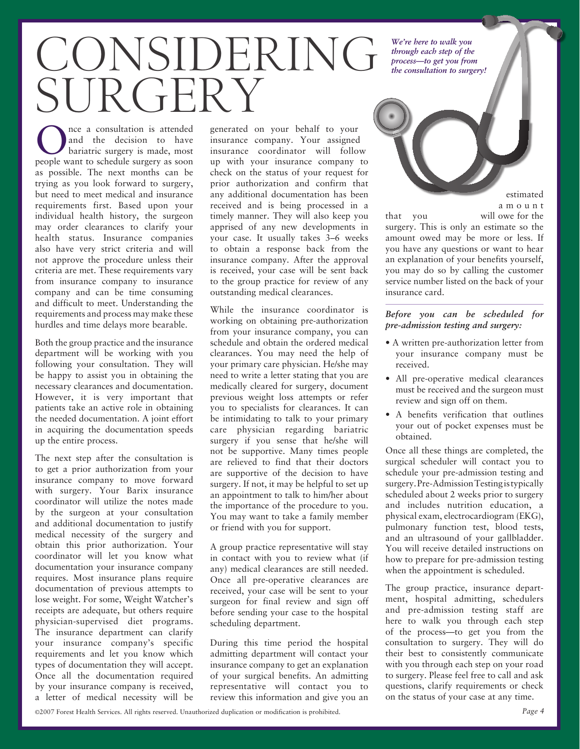# CONSIDERING SUR GERY

Once a consultation is attended<br>
and the decision to have<br>
bariatric surgery is made, most and the decision to have people want to schedule surgery as soon as possible. The next months can be trying as you look forward to surgery, but need to meet medical and insurance requirements first. Based upon your individual health history, the surgeon may order clearances to clarify your health status. Insurance companies also have very strict criteria and will not approve the procedure unless their criteria are met. These requirements vary from insurance company to insurance company and can be time consuming and difficult to meet. Understanding the requirements and process may make these hurdles and time delays more bearable.

Both the group practice and the insurance department will be working with you following your consultation. They will be happy to assist you in obtaining the necessary clearances and documentation. However, it is very important that patients take an active role in obtaining the needed documentation. A joint effort in acquiring the documentation speeds up the entire process.

The next step after the consultation is to get a prior authorization from your insurance company to move forward with surgery. Your Barix insurance coordinator will utilize the notes made by the surgeon at your consultation and additional documentation to justify medical necessity of the surgery and obtain this prior authorization. Your coordinator will let you know what documentation your insurance company requires. Most insurance plans require documentation of previous attempts to lose weight. For some, Weight Watcher's receipts are adequate, but others require physician-supervised diet programs. The insurance department can clarify your insurance company's specific requirements and let you know which types of documentation they will accept. Once all the documentation required by your insurance company is received, a letter of medical necessity will be

generated on your behalf to your insurance company. Your assigned insurance coordinator will follow up with your insurance company to check on the status of your request for prior authorization and confirm that any additional documentation has been received and is being processed in a timely manner. They will also keep you apprised of any new developments in your case. It usually takes 3–6 weeks to obtain a response back from the insurance company. After the approval is received, your case will be sent back to the group practice for review of any outstanding medical clearances.

While the insurance coordinator is working on obtaining pre-authorization from your insurance company, you can schedule and obtain the ordered medical clearances. You may need the help of your primary care physician. He/she may need to write a letter stating that you are medically cleared for surgery, document previous weight loss attempts or refer you to specialists for clearances. It can be intimidating to talk to your primary care physician regarding bariatric surgery if you sense that he/she will not be supportive. Many times people are relieved to find that their doctors are supportive of the decision to have surgery. If not, it may be helpful to set up an appointment to talk to him/her about the importance of the procedure to you. You may want to take a family member or friend with you for support.

A group practice representative will stay in contact with you to review what (if any) medical clearances are still needed. Once all pre-operative clearances are received, your case will be sent to your surgeon for final review and sign off before sending your case to the hospital scheduling department.

During this time period the hospital admitting department will contact your insurance company to get an explanation of your surgical benefits. An admitting representative will contact you to review this information and give you an

*We're here to walk you through each step of the process—to get you from the consultation to surgery!*

estimated

a m o u n t

that you will owe for the surgery. This is only an estimate so the amount owed may be more or less. If you have any questions or want to hear an explanation of your benefits yourself, you may do so by calling the customer service number listed on the back of your insurance card.

*Before you can be scheduled for pre-admission testing and surgery:*

- A written pre-authorization letter from your insurance company must be received.
- All pre-operative medical clearances must be received and the surgeon must review and sign off on them.
- A benefits verification that outlines your out of pocket expenses must be obtained.

Once all these things are completed, the surgical scheduler will contact you to schedule your pre-admission testing and surgery. Pre-Admission Testing is typically scheduled about 2 weeks prior to surgery and includes nutrition education, a physical exam, electrocardiogram (EKG), pulmonary function test, blood tests, and an ultrasound of your gallbladder. You will receive detailed instructions on how to prepare for pre-admission testing when the appointment is scheduled.

The group practice, insurance department, hospital admitting, schedulers and pre-admission testing staff are here to walk you through each step of the process—to get you from the consultation to surgery. They will do their best to consistently communicate with you through each step on your road to surgery. Please feel free to call and ask questions, clarify requirements or check on the status of your case at any time.

©2007 Forest Health Services. All rights reserved. Unauthorized duplication or modification is prohibited. *Page 4*